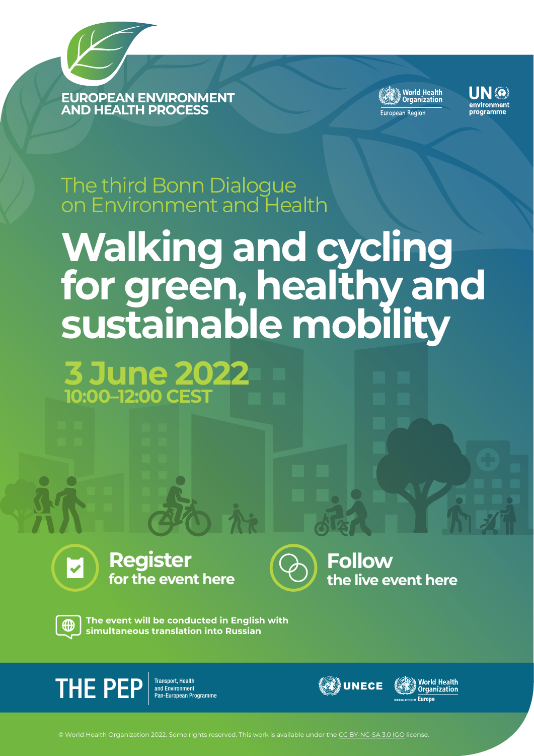**EUROPEAN ENVIRONMENT AND HEALTH PROCESS**

World Health<br>Organization European Region



## The third Bonn Dialogue on Environment and Health

# **Walking and cycling for green, healthy and sustainable mobility**

**3 June 2022 10:00–12:00 CEST**



### **Register for the event here**



**the live event here**

**The event will be conducted in English with simultaneous translation into Russian**

THE PEP

and Environment Pan-European Programme



**World Health**<br>Organization

© World Health Organization 2022. Some rights reserved. This work is available under the [CC BY-NC-SA 3.0 IGO](https://creativecommons.org/licenses/by-nc-sa/3.0/igo/) license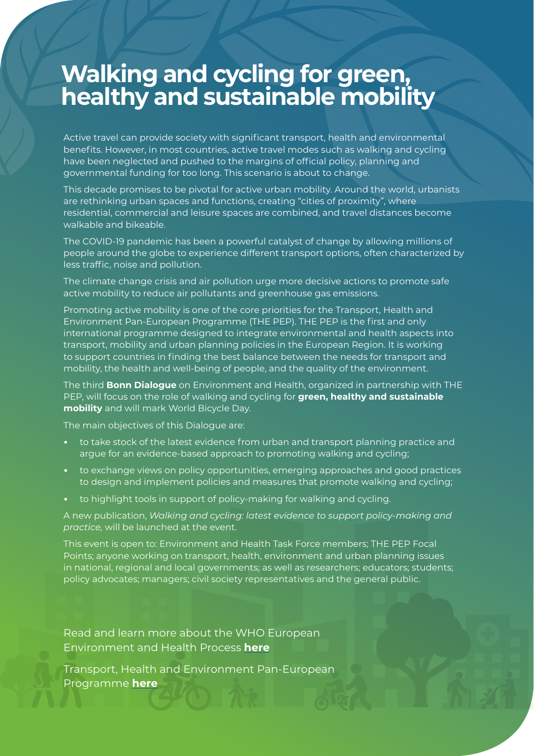# **Walking and cycling for green, healthy and sustainable mobility**

Active travel can provide society with significant transport, health and environmental benefits. However, in most countries, active travel modes such as walking and cycling have been neglected and pushed to the margins of official policy, planning and governmental funding for too long. This scenario is about to change.

This decade promises to be pivotal for active urban mobility. Around the world, urbanists are rethinking urban spaces and functions, creating "cities of proximity", where residential, commercial and leisure spaces are combined, and travel distances become walkable and bikeable.

The COVID-19 pandemic has been a powerful catalyst of change by allowing millions of people around the globe to experience different transport options, often characterized by less traffic, noise and pollution.

The climate change crisis and air pollution urge more decisive actions to promote safe active mobility to reduce air pollutants and greenhouse gas emissions.

Promoting active mobility is one of the core priorities for the Transport, Health and Environment Pan-European Programme [\(THE PEP](https://thepep.unece.org/)). THE PEP is the first and only international programme designed to integrate environmental and health aspects into transport, mobility and urban planning policies in the European Region. It is working to support countries in finding the best balance between the needs for transport and mobility, the health and well-being of people, and the quality of the environment.

The third **Bonn Dialogue** on Environment and Health, organized in partnership with THE PEP, will focus on the role of walking and cycling for **green, healthy and sustainable mobility** and will mark World Bicycle Day.

The main objectives of this Dialogue are:

- to take stock of the latest evidence from urban and transport planning practice and argue for an evidence-based approach to promoting walking and cycling;
- to exchange views on policy opportunities, emerging approaches and good practices to design and implement policies and measures that promote walking and cycling;
- to highlight tools in support of policy-making for walking and cycling.

A new publication, *Walking and cycling: latest evidence to support policy-making and practice,* will be launched at the event.

This event is open to: Environment and Health Task Force members; THE PEP Focal Points; anyone working on transport, health, environment and urban planning issues in national, regional and local governments; as well as researchers; educators; students; policy advocates; managers; civil society representatives and the general public.

Read and learn more about the WHO European Environment and Health Process **[here](https://www.euro.who.int/en/health-topics/environment-and-health/pages/european-environment-and-health-process-ehp)**

Transport, Health and Environment Pan-European Programme **[here](https://thepep.unece.org/)**